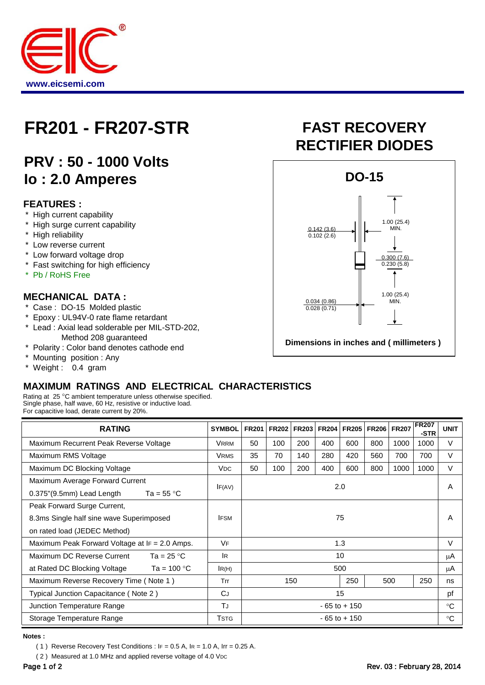

## **FR201 - FR207-STR FAST RECOVERY**

### **PRV : 50 - 1000 Volts Io : 2.0 Amperes**

#### **FEATURES :**

- High current capability
- High surge current capability
- \* High reliability
- \* Low reverse current
- \* Low forward voltage drop
- \* Fast switching for high efficiency
- Pb / RoHS Free

#### **MECHANICAL DATA :**

- \* Case : DO-15 Molded plastic
- \* Epoxy : UL94V-0 rate flame retardant<br>\* Lead : Axial lead solderable per MIL-S
- Lead : Axial lead solderable per MIL-STD-202, Method 208 guaranteed<br>Polarity: Color band denotes ca
- Polarity : Color band denotes cathode end
- \* Mounting position : Any<br>\* Weight : 0.4 gram
- Weight : 0.4 gram

# **RECTIFIER DIODES**



#### **MAXIMUM RATINGS AND ELECTRICAL CHARACTERISTICS**

Rating at 25 °C ambient temperature unless otherwise specified. Single phase, half wave, 60 Hz, resistive or inductive load. For capacitive load, derate current by 20%.

| <b>RATING</b>                                        | <b>SYMBOL</b>         | <b>FR201</b>    | <b>FR202</b> | <b>FR203</b> | <b>FR204</b> | <b>FR205</b> | <b>FR206</b> | <b>FR207</b> | <b>FR207</b><br>-STR | <b>UNIT</b> |
|------------------------------------------------------|-----------------------|-----------------|--------------|--------------|--------------|--------------|--------------|--------------|----------------------|-------------|
| Maximum Recurrent Peak Reverse Voltage               | <b>VRRM</b>           | 50              | 100          | 200          | 400          | 600          | 800          | 1000         | 1000                 | $\vee$      |
| Maximum RMS Voltage                                  | <b>VRMS</b>           | 35              | 70           | 140          | 280          | 420          | 560          | 700          | 700                  | $\vee$      |
| Maximum DC Blocking Voltage                          | <b>V<sub>DC</sub></b> | 50              | 100          | 200          | 400          | 600          | 800          | 1000         | 1000                 | V           |
| Maximum Average Forward Current                      | IF(AV)                | 2.0             |              |              |              |              |              |              |                      | A           |
| $0.375$ "(9.5mm) Lead Length<br>Ta = 55 $^{\circ}$ C |                       |                 |              |              |              |              |              |              |                      |             |
| Peak Forward Surge Current,                          | 75<br><b>IFSM</b>     |                 |              |              |              |              |              |              |                      |             |
| 8.3ms Single half sine wave Superimposed             |                       |                 |              |              |              |              |              |              | A                    |             |
| on rated load (JEDEC Method)                         |                       |                 |              |              |              |              |              |              |                      |             |
| Maximum Peak Forward Voltage at $IF = 2.0$ Amps.     | VF                    | 1.3             |              |              |              |              |              | $\vee$       |                      |             |
| Maximum DC Reverse Current<br>Ta = $25 °C$           | lR.                   | 10              |              |              |              |              |              |              |                      | μA          |
| Ta = $100 °C$<br>at Rated DC Blocking Voltage        | IR(H)                 | 500             |              |              |              |              |              |              |                      | μA          |
| Maximum Reverse Recovery Time (Note 1)               | Trr                   |                 | 150<br>250   |              |              |              |              | 500          | 250                  | ns          |
| Typical Junction Capacitance (Note 2)                | CJ                    | 15              |              |              |              |              |              |              | pf                   |             |
| Junction Temperature Range                           | TJ                    | $-65$ to $+150$ |              |              |              |              |              |              | $^{\circ}C$          |             |
| Storage Temperature Range                            | Tstg                  | $-65$ to $+150$ |              |              |              |              |              |              |                      | $^{\circ}C$ |

**Notes :**

( 1 ) Reverse Recovery Test Conditions :  $IF = 0.5 A$ ,  $IR = 1.0 A$ ,  $Ir = 0.25 A$ .

(2) Measured at 1.0 MHz and applied reverse voltage of 4.0 VDC